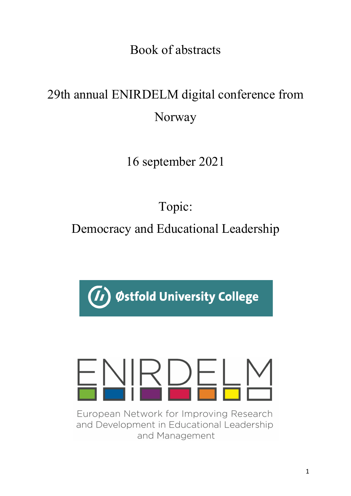Book of abstracts

# 29th annual ENIRDELM digital conference from Norway

16 september 2021

Topic:

Democracy and Educational Leadership

Østfold University College

European Network for Improving Research and Development in Educational Leadership and Management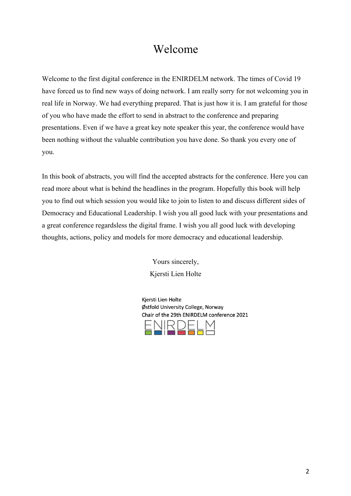# Welcome

Welcome to the first digital conference in the ENIRDELM network. The times of Covid 19 have forced us to find new ways of doing network. I am really sorry for not welcoming you in real life in Norway. We had everything prepared. That is just how it is. I am grateful for those of you who have made the effort to send in abstract to the conference and preparing presentations. Even if we have a great key note speaker this year, the conference would have been nothing without the valuable contribution you have done. So thank you every one of you.

In this book of abstracts, you will find the accepted abstracts for the conference. Here you can read more about what is behind the headlines in the program. Hopefully this book will help you to find out which session you would like to join to listen to and discuss different sides of Democracy and Educational Leadership. I wish you all good luck with your presentations and a great conference regardsless the digital frame. I wish you all good luck with developing thoughts, actions, policy and models for more democracy and educational leadership.

> Yours sincerely, Kjersti Lien Holte

Kiersti Lien Holte Østfold University College, Norway Chair of the 29th FNIRDELM conference 2021

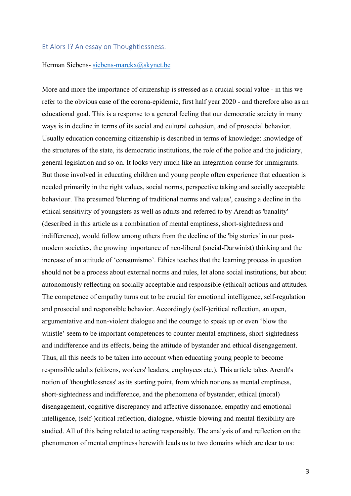# Et Alors !? An essay on Thoughtlessness.

#### Herman Siebens- siebens-marckx@skynet.be

More and more the importance of citizenship is stressed as a crucial social value - in this we refer to the obvious case of the corona-epidemic, first half year 2020 - and therefore also as an educational goal. This is a response to a general feeling that our democratic society in many ways is in decline in terms of its social and cultural cohesion, and of prosocial behavior. Usually education concerning citizenship is described in terms of knowledge: knowledge of the structures of the state, its democratic institutions, the role of the police and the judiciary, general legislation and so on. It looks very much like an integration course for immigrants. But those involved in educating children and young people often experience that education is needed primarily in the right values, social norms, perspective taking and socially acceptable behaviour. The presumed 'blurring of traditional norms and values', causing a decline in the ethical sensitivity of youngsters as well as adults and referred to by Arendt as 'banality' (described in this article as a combination of mental emptiness, short-sightedness and indifference), would follow among others from the decline of the 'big stories' in our postmodern societies, the growing importance of neo-liberal (social-Darwinist) thinking and the increase of an attitude of 'consumismo'. Ethics teaches that the learning process in question should not be a process about external norms and rules, let alone social institutions, but about autonomously reflecting on socially acceptable and responsible (ethical) actions and attitudes. The competence of empathy turns out to be crucial for emotional intelligence, self-regulation and prosocial and responsible behavior. Accordingly (self-)critical reflection, an open, argumentative and non-violent dialogue and the courage to speak up or even 'blow the whistle' seem to be important competences to counter mental emptiness, short-sightedness and indifference and its effects, being the attitude of bystander and ethical disengagement. Thus, all this needs to be taken into account when educating young people to become responsible adults (citizens, workers' leaders, employees etc.). This article takes Arendt's notion of 'thoughtlessness' as its starting point, from which notions as mental emptiness, short-sightedness and indifference, and the phenomena of bystander, ethical (moral) disengagement, cognitive discrepancy and affective dissonance, empathy and emotional intelligence, (self-)critical reflection, dialogue, whistle-blowing and mental flexibility are studied. All of this being related to acting responsibly. The analysis of and reflection on the phenomenon of mental emptiness herewith leads us to two domains which are dear to us: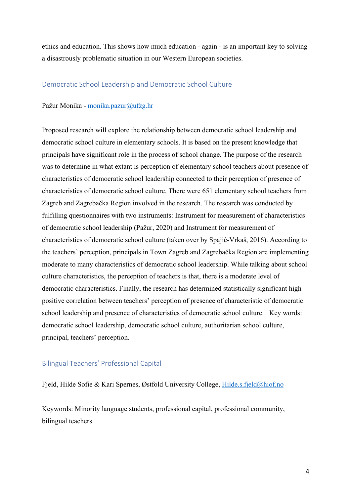ethics and education. This shows how much education - again - is an important key to solving a disastrously problematic situation in our Western European societies.

# Democratic School Leadership and Democratic School Culture

### Pažur Monika - monika.pazur@ufzg.hr

Proposed research will explore the relationship between democratic school leadership and democratic school culture in elementary schools. It is based on the present knowledge that principals have significant role in the process of school change. The purpose of the research was to determine in what extant is perception of elementary school teachers about presence of characteristics of democratic school leadership connected to their perception of presence of characteristics of democratic school culture. There were 651 elementary school teachers from Zagreb and Zagrebačka Region involved in the research. The research was conducted by fulfilling questionnaires with two instruments: Instrument for measurement of characteristics of democratic school leadership (Pažur, 2020) and Instrument for measurement of characteristics of democratic school culture (taken over by Spajić-Vrkaš, 2016). According to the teachers' perception, principals in Town Zagreb and Zagrebačka Region are implementing moderate to many characteristics of democratic school leadership. While talking about school culture characteristics, the perception of teachers is that, there is a moderate level of democratic characteristics. Finally, the research has determined statistically significant high positive correlation between teachers' perception of presence of characteristic of democratic school leadership and presence of characteristics of democratic school culture. Key words: democratic school leadership, democratic school culture, authoritarian school culture, principal, teachers' perception.

# Bilingual Teachers' Professional Capital

Fjeld, Hilde Sofie & Kari Spernes, Østfold University College, Hilde.s.fjeld@hiof.no

Keywords: Minority language students, professional capital, professional community, bilingual teachers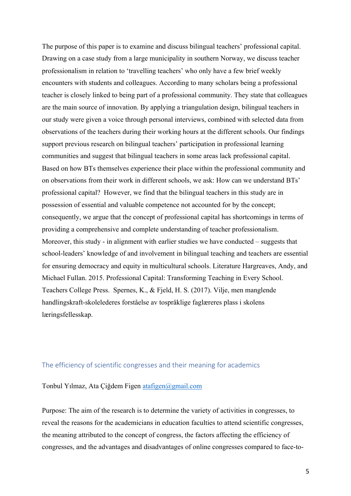The purpose of this paper is to examine and discuss bilingual teachers' professional capital. Drawing on a case study from a large municipality in southern Norway, we discuss teacher professionalism in relation to 'travelling teachers' who only have a few brief weekly encounters with students and colleagues. According to many scholars being a professional teacher is closely linked to being part of a professional community. They state that colleagues are the main source of innovation. By applying a triangulation design, bilingual teachers in our study were given a voice through personal interviews, combined with selected data from observations of the teachers during their working hours at the different schools. Our findings support previous research on bilingual teachers' participation in professional learning communities and suggest that bilingual teachers in some areas lack professional capital. Based on how BTs themselves experience their place within the professional community and on observations from their work in different schools, we ask: How can we understand BTs' professional capital? However, we find that the bilingual teachers in this study are in possession of essential and valuable competence not accounted for by the concept; consequently, we argue that the concept of professional capital has shortcomings in terms of providing a comprehensive and complete understanding of teacher professionalism. Moreover, this study - in alignment with earlier studies we have conducted – suggests that school-leaders' knowledge of and involvement in bilingual teaching and teachers are essential for ensuring democracy and equity in multicultural schools. Literature Hargreaves, Andy, and Michael Fullan. 2015. Professional Capital: Transforming Teaching in Every School. Teachers College Press. Spernes, K., & Fjeld, H. S. (2017). Vilje, men manglende handlingskraft-skolelederes forståelse av tospråklige faglæreres plass i skolens læringsfellesskap.

# The efficiency of scientific congresses and their meaning for academics

Tonbul Yılmaz, Ata Çiğdem Figen atafigen@gmail.com

Purpose: The aim of the research is to determine the variety of activities in congresses, to reveal the reasons for the academicians in education faculties to attend scientific congresses, the meaning attributed to the concept of congress, the factors affecting the efficiency of congresses, and the advantages and disadvantages of online congresses compared to face-to-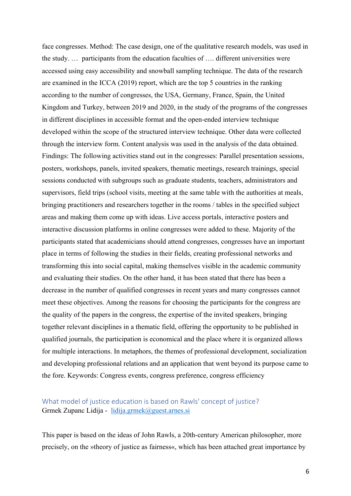face congresses. Method: The case design, one of the qualitative research models, was used in the study. … participants from the education faculties of …. different universities were accessed using easy accessibility and snowball sampling technique. The data of the research are examined in the ICCA (2019) report, which are the top 5 countries in the ranking according to the number of congresses, the USA, Germany, France, Spain, the United Kingdom and Turkey, between 2019 and 2020, in the study of the programs of the congresses in different disciplines in accessible format and the open-ended interview technique developed within the scope of the structured interview technique. Other data were collected through the interview form. Content analysis was used in the analysis of the data obtained. Findings: The following activities stand out in the congresses: Parallel presentation sessions, posters, workshops, panels, invited speakers, thematic meetings, research trainings, special sessions conducted with subgroups such as graduate students, teachers, administrators and supervisors, field trips (school visits, meeting at the same table with the authorities at meals, bringing practitioners and researchers together in the rooms / tables in the specified subject areas and making them come up with ideas. Live access portals, interactive posters and interactive discussion platforms in online congresses were added to these. Majority of the participants stated that academicians should attend congresses, congresses have an important place in terms of following the studies in their fields, creating professional networks and transforming this into social capital, making themselves visible in the academic community and evaluating their studies. On the other hand, it has been stated that there has been a decrease in the number of qualified congresses in recent years and many congresses cannot meet these objectives. Among the reasons for choosing the participants for the congress are the quality of the papers in the congress, the expertise of the invited speakers, bringing together relevant disciplines in a thematic field, offering the opportunity to be published in qualified journals, the participation is economical and the place where it is organized allows for multiple interactions. In metaphors, the themes of professional development, socialization and developing professional relations and an application that went beyond its purpose came to the fore. Keywords: Congress events, congress preference, congress efficiency

# What model of justice education is based on Rawls' concept of justice? Grmek Zupanc Lidija - lidija.grmek@guest.arnes.si

This paper is based on the ideas of John Rawls, a 20th-century American philosopher, more precisely, on the »theory of justice as fairness«, which has been attached great importance by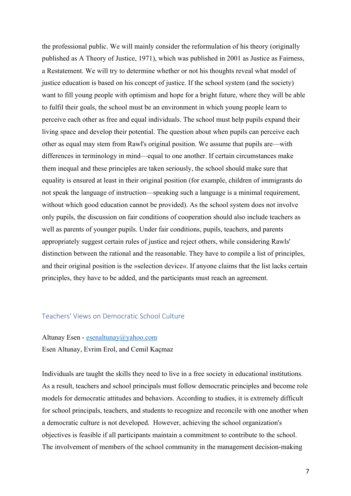the professional public. We will mainly consider the reformulation of his theory (originally published as A Theory of Justice, 1971), which was published in 2001 as Justice as Fairness, a Restatement. We will try to determine whether or not his thoughts reveal what model of justice education is based on his concept of justice. If the school system (and the society) want to fill young people with optimism and hope for a bright future, where they will be able to fulfil their goals, the school must be an environment in which young people learn to perceive each other as free and equal individuals. The school must help pupils expand their living space and develop their potential. The question about when pupils can perceive each other as equal may stem from Rawl's original position. We assume that pupils are—with differences in terminology in mind—equal to one another. If certain circumstances make them inequal and these principles are taken seriously, the school should make sure that equality is ensured at least in their original position (for example, children of immigrants do not speak the language of instruction—speaking such a language is a minimal requirement, without which good education cannot be provided). As the school system does not involve only pupils, the discussion on fair conditions of cooperation should also include teachers as well as parents of younger pupils. Under fair conditions, pupils, teachers, and parents appropriately suggest certain rules of justice and reject others, while considering Rawls' distinction between the rational and the reasonable. They have to compile a list of principles, and their original position is the »selection device«. If anyone claims that the list lacks certain principles, they have to be added, and the participants must reach an agreement.

# Teachers' Views on Democratic School Culture

# Altunay Esen - esenaltunay@yahoo.com Esen Altunay, Evrim Erol, and Cemil Kaçmaz

Individuals are taught the skills they need to live in a free society in educational institutions. As a result, teachers and school principals must follow democratic principles and become role models for democratic attitudes and behaviors. According to studies, it is extremely difficult for school principals, teachers, and students to recognize and reconcile with one another when a democratic culture is not developed. However, achieving the school organization's objectives is feasible if all participants maintain a commitment to contribute to the school. The involvement of members of the school community in the management decision-making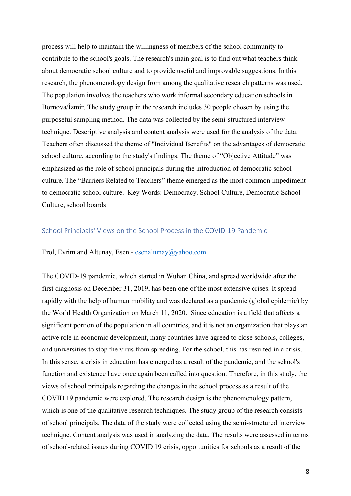process will help to maintain the willingness of members of the school community to contribute to the school's goals. The research's main goal is to find out what teachers think about democratic school culture and to provide useful and improvable suggestions. In this research, the phenomenology design from among the qualitative research patterns was used. The population involves the teachers who work informal secondary education schools in Bornova/İzmir. The study group in the research includes 30 people chosen by using the purposeful sampling method. The data was collected by the semi-structured interview technique. Descriptive analysis and content analysis were used for the analysis of the data. Teachers often discussed the theme of "Individual Benefits" on the advantages of democratic school culture, according to the study's findings. The theme of "Objective Attitude" was emphasized as the role of school principals during the introduction of democratic school culture. The "Barriers Related to Teachers" theme emerged as the most common impediment to democratic school culture. Key Words: Democracy, School Culture, Democratic School Culture, school boards

# School Principals' Views on the School Process in the COVID-19 Pandemic

#### Erol, Evrim and Altunay, Esen - esenaltunay@yahoo.com

The COVID-19 pandemic, which started in Wuhan China, and spread worldwide after the first diagnosis on December 31, 2019, has been one of the most extensive crises. It spread rapidly with the help of human mobility and was declared as a pandemic (global epidemic) by the World Health Organization on March 11, 2020. Since education is a field that affects a significant portion of the population in all countries, and it is not an organization that plays an active role in economic development, many countries have agreed to close schools, colleges, and universities to stop the virus from spreading. For the school, this has resulted in a crisis. In this sense, a crisis in education has emerged as a result of the pandemic, and the school's function and existence have once again been called into question. Therefore, in this study, the views of school principals regarding the changes in the school process as a result of the COVID 19 pandemic were explored. The research design is the phenomenology pattern, which is one of the qualitative research techniques. The study group of the research consists of school principals. The data of the study were collected using the semi-structured interview technique. Content analysis was used in analyzing the data. The results were assessed in terms of school-related issues during COVID 19 crisis, opportunities for schools as a result of the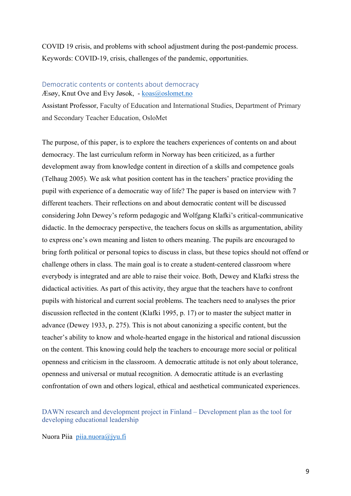COVID 19 crisis, and problems with school adjustment during the post-pandemic process. Keywords: COVID-19, crisis, challenges of the pandemic, opportunities.

# Democratic contents or contents about democracy Æsøy, Knut Ove and Evy Jøsok, - koas@oslomet.no

Assistant Professor, Faculty of Education and International Studies, Department of Primary and Secondary Teacher Education, OsloMet

The purpose, of this paper, is to explore the teachers experiences of contents on and about democracy. The last curriculum reform in Norway has been criticized, as a further development away from knowledge content in direction of a skills and competence goals (Telhaug 2005). We ask what position content has in the teachers' practice providing the pupil with experience of a democratic way of life? The paper is based on interview with 7 different teachers. Their reflections on and about democratic content will be discussed considering John Dewey's reform pedagogic and Wolfgang Klafki's critical-communicative didactic. In the democracy perspective, the teachers focus on skills as argumentation, ability to express one's own meaning and listen to others meaning. The pupils are encouraged to bring forth political or personal topics to discuss in class, but these topics should not offend or challenge others in class. The main goal is to create a student-centered classroom where everybody is integrated and are able to raise their voice. Both, Dewey and Klafki stress the didactical activities. As part of this activity, they argue that the teachers have to confront pupils with historical and current social problems. The teachers need to analyses the prior discussion reflected in the content (Klafki 1995, p. 17) or to master the subject matter in advance (Dewey 1933, p. 275). This is not about canonizing a specific content, but the teacher's ability to know and whole-hearted engage in the historical and rational discussion on the content. This knowing could help the teachers to encourage more social or political openness and criticism in the classroom. A democratic attitude is not only about tolerance, openness and universal or mutual recognition. A democratic attitude is an everlasting confrontation of own and others logical, ethical and aesthetical communicated experiences.

# DAWN research and development project in Finland – Development plan as the tool for developing educational leadership

Nuora Piia piia.nuora@jyu.fi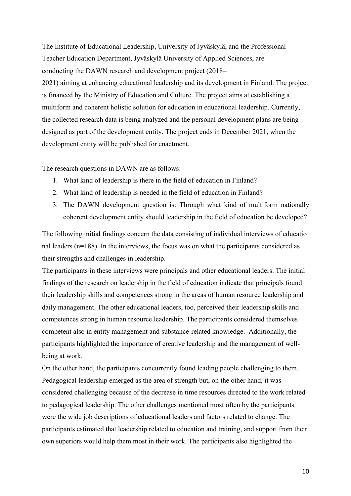The Institute of Educational Leadership, University of Jyväskylä, and the Professional Teacher Education Department, Jyväskylä University of Applied Sciences, are conducting the DAWN research and development project (2018– 2021) aiming at enhancing educational leadership and its development in Finland. The project is financed by the Ministry of Education and Culture. The project aims at establishing a multiform and coherent holistic solution for education in educational leadership. Currently, the collected research data is being analyzed and the personal development plans are being designed as part of the development entity. The project ends in December 2021, when the development entity will be published for enactment.

The research questions in DAWN are as follows:

- 1. What kind of leadership is there in the field of education in Finland?
- 2. What kind of leadership is needed in the field of education in Finland?
- 3. The DAWN development question is: Through what kind of multiform nationally coherent development entity should leadership in the field of education be developed?

The following initial findings concern the data consisting of individual interviews of educatio nal leaders (n=188). In the interviews, the focus was on what the participants considered as their strengths and challenges in leadership.

The participants in these interviews were principals and other educational leaders. The initial findings of the research on leadership in the field of education indicate that principals found their leadership skills and competences strong in the areas of human resource leadership and daily management. The other educational leaders, too, perceived their leadership skills and competences strong in human resource leadership. The participants considered themselves competent also in entity management and substance-related knowledge. Additionally, the participants highlighted the importance of creative leadership and the management of wellbeing at work.

On the other hand, the participants concurrently found leading people challenging to them. Pedagogical leadership emerged as the area of strength but, on the other hand, it was considered challenging because of the decrease in time resources directed to the work related to pedagogical leadership. The other challenges mentioned most often by the participants were the wide job descriptions of educational leaders and factors related to change. The participants estimated that leadership related to education and training, and support from their own superiors would help them most in their work. The participants also highlighted the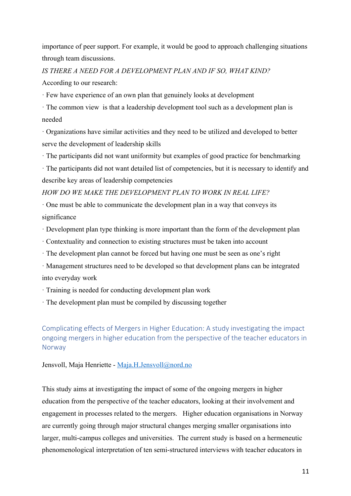importance of peer support. For example, it would be good to approach challenging situations through team discussions.

*IS THERE A NEED FOR A DEVELOPMENT PLAN AND IF SO, WHAT KIND?*

According to our research:

· Few have experience of an own plan that genuinely looks at development

· The common view is that a leadership development tool such as a development plan is needed

· Organizations have similar activities and they need to be utilized and developed to better serve the development of leadership skills

· The participants did not want uniformity but examples of good practice for benchmarking

· The participants did not want detailed list of competencies, but it is necessary to identify and describe key areas of leadership competencies

*HOW DO WE MAKE THE DEVELOPMENT PLAN TO WORK IN REAL LIFE?*

· One must be able to communicate the development plan in a way that conveys its significance

· Development plan type thinking is more important than the form of the development plan

- · Contextuality and connection to existing structures must be taken into account
- · The development plan cannot be forced but having one must be seen as one's right
- · Management structures need to be developed so that development plans can be integrated into everyday work

· Training is needed for conducting development plan work

· The development plan must be compiled by discussing together

# Complicating effects of Mergers in Higher Education: A study investigating the impact ongoing mergers in higher education from the perspective of the teacher educators in Norway

Jensvoll, Maja Henriette - Maja.H.Jensvoll@nord.no

This study aims at investigating the impact of some of the ongoing mergers in higher education from the perspective of the teacher educators, looking at their involvement and engagement in processes related to the mergers. Higher education organisations in Norway are currently going through major structural changes merging smaller organisations into larger, multi-campus colleges and universities. The current study is based on a hermeneutic phenomenological interpretation of ten semi-structured interviews with teacher educators in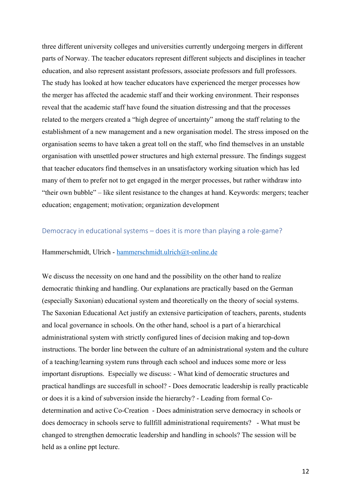three different university colleges and universities currently undergoing mergers in different parts of Norway. The teacher educators represent different subjects and disciplines in teacher education, and also represent assistant professors, associate professors and full professors. The study has looked at how teacher educators have experienced the merger processes how the merger has affected the academic staff and their working environment. Their responses reveal that the academic staff have found the situation distressing and that the processes related to the mergers created a "high degree of uncertainty" among the staff relating to the establishment of a new management and a new organisation model. The stress imposed on the organisation seems to have taken a great toll on the staff, who find themselves in an unstable organisation with unsettled power structures and high external pressure. The findings suggest that teacher educators find themselves in an unsatisfactory working situation which has led many of them to prefer not to get engaged in the merger processes, but rather withdraw into "their own bubble" – like silent resistance to the changes at hand. Keywords: mergers; teacher education; engagement; motivation; organization development

### Democracy in educational systems – does it is more than playing a role-game?

#### Hammerschmidt, Ulrich - hammerschmidt.ulrich@t-online.de

We discuss the necessity on one hand and the possibility on the other hand to realize democratic thinking and handling. Our explanations are practically based on the German (especially Saxonian) educational system and theoretically on the theory of social systems. The Saxonian Educational Act justify an extensive participation of teachers, parents, students and local governance in schools. On the other hand, school is a part of a hierarchical administrational system with strictly configured lines of decision making and top-down instructions. The border line between the culture of an administrational system and the culture of a teaching/learning system runs through each school and induces some more or less important disruptions. Especially we discuss: - What kind of democratic structures and practical handlings are succesfull in school? - Does democratic leadership is really practicable or does it is a kind of subversion inside the hierarchy? - Leading from formal Codetermination and active Co-Creation - Does administration serve democracy in schools or does democracy in schools serve to fullfill administrational requirements? - What must be changed to strengthen democratic leadership and handling in schools? The session will be held as a online ppt lecture.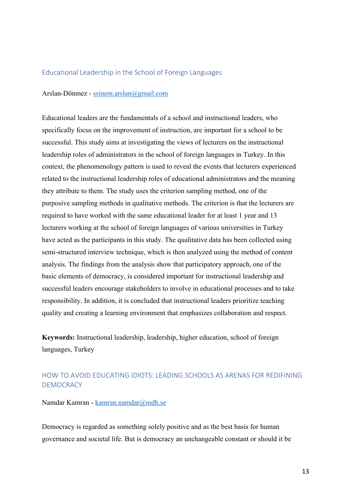### Educational Leadership in the School of Foreign Languages

### Arslan-Dönmez - ssinem.arslan@gmail.com

Educational leaders are the fundamentals of a school and instructional leaders, who specifically focus on the improvement of instruction, are important for a school to be successful. This study aims at investigating the views of lecturers on the instructional leadership roles of administrators in the school of foreign languages in Turkey. In this context, the phenomenology pattern is used to reveal the events that lecturers experienced related to the instructional leadership roles of educational administrators and the meaning they attribute to them. The study uses the criterion sampling method, one of the purposive sampling methods in qualitative methods. The criterion is that the lecturers are required to have worked with the same educational leader for at least 1 year and 13 lecturers working at the school of foreign languages of various universities in Turkey have acted as the participants in this study. The qualitative data has been collected using semi-structured interview technique, which is then analyzed using the method of content analysis. The findings from the analysis show that participatory approach, one of the basic elements of democracy, is considered important for instructional leadership and successful leaders encourage stakeholders to involve in educational processes and to take responsibility. In addition, it is concluded that instructional leaders prioritize teaching quality and creating a learning environment that emphasizes collaboration and respect.

**Keywords:** Instructional leadership, leadership, higher education, school of foreign languages, Turkey

# HOW TO AVOID EDUCATING IDIOTS: LEADING SCHOOLS AS ARENAS FOR REDIFINING DEMOCRACY

Namdar Kamran - kamran.namdar@mdh.se

Democracy is regarded as something solely positive and as the best basis for human governance and societal life. But is democracy an unchangeable constant or should it be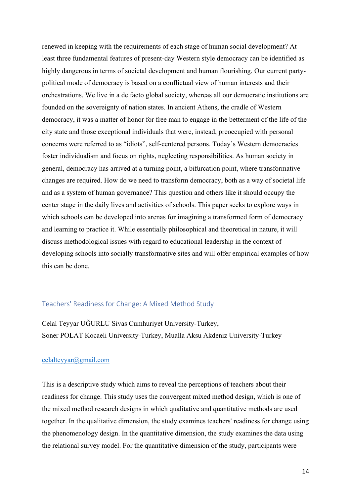renewed in keeping with the requirements of each stage of human social development? At least three fundamental features of present-day Western style democracy can be identified as highly dangerous in terms of societal development and human flourishing. Our current partypolitical mode of democracy is based on a conflictual view of human interests and their orchestrations. We live in a de facto global society, whereas all our democratic institutions are founded on the sovereignty of nation states. In ancient Athens, the cradle of Western democracy, it was a matter of honor for free man to engage in the betterment of the life of the city state and those exceptional individuals that were, instead, preoccupied with personal concerns were referred to as "idiots", self-centered persons. Today's Western democracies foster individualism and focus on rights, neglecting responsibilities. As human society in general, democracy has arrived at a turning point, a bifurcation point, where transformative changes are required. How do we need to transform democracy, both as a way of societal life and as a system of human governance? This question and others like it should occupy the center stage in the daily lives and activities of schools. This paper seeks to explore ways in which schools can be developed into arenas for imagining a transformed form of democracy and learning to practice it. While essentially philosophical and theoretical in nature, it will discuss methodological issues with regard to educational leadership in the context of developing schools into socially transformative sites and will offer empirical examples of how this can be done.

# Teachers' Readiness for Change: A Mixed Method Study

Celal Teyyar UĞURLU Sivas Cumhuriyet University-Turkey, Soner POLAT Kocaeli University-Turkey, Mualla Aksu Akdeniz University-Turkey

### celalteyyar@gmail.com

This is a descriptive study which aims to reveal the perceptions of teachers about their readiness for change. This study uses the convergent mixed method design, which is one of the mixed method research designs in which qualitative and quantitative methods are used together. In the qualitative dimension, the study examines teachers' readiness for change using the phenomenology design. In the quantitative dimension, the study examines the data using the relational survey model. For the quantitative dimension of the study, participants were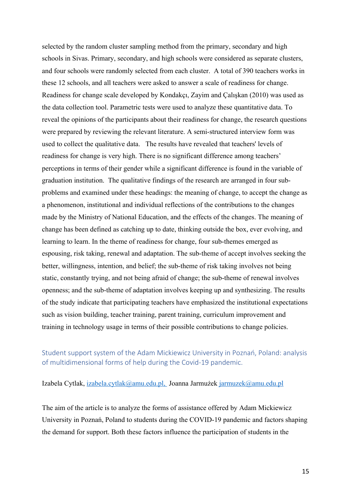selected by the random cluster sampling method from the primary, secondary and high schools in Sivas. Primary, secondary, and high schools were considered as separate clusters, and four schools were randomly selected from each cluster. A total of 390 teachers works in these 12 schools, and all teachers were asked to answer a scale of readiness for change. Readiness for change scale developed by Kondakçı, Zayim and Çalışkan (2010) was used as the data collection tool. Parametric tests were used to analyze these quantitative data. To reveal the opinions of the participants about their readiness for change, the research questions were prepared by reviewing the relevant literature. A semi-structured interview form was used to collect the qualitative data. The results have revealed that teachers' levels of readiness for change is very high. There is no significant difference among teachers' perceptions in terms of their gender while a significant difference is found in the variable of graduation institution. The qualitative findings of the research are arranged in four subproblems and examined under these headings: the meaning of change, to accept the change as a phenomenon, institutional and individual reflections of the contributions to the changes made by the Ministry of National Education, and the effects of the changes. The meaning of change has been defined as catching up to date, thinking outside the box, ever evolving, and learning to learn. In the theme of readiness for change, four sub-themes emerged as espousing, risk taking, renewal and adaptation. The sub-theme of accept involves seeking the better, willingness, intention, and belief; the sub-theme of risk taking involves not being static, constantly trying, and not being afraid of change; the sub-theme of renewal involves openness; and the sub-theme of adaptation involves keeping up and synthesizing. The results of the study indicate that participating teachers have emphasized the institutional expectations such as vision building, teacher training, parent training, curriculum improvement and training in technology usage in terms of their possible contributions to change policies.

# Student support system of the Adam Mickiewicz University in Poznań, Poland: analysis of multidimensional forms of help during the Covid-19 pandemic.

Izabela Cytlak, izabela.cytlak@amu.edu.pl, Joanna Jarmużek jarmuzek@amu.edu.pl

The aim of the article is to analyze the forms of assistance offered by Adam Mickiewicz University in Poznań, Poland to students during the COVID-19 pandemic and factors shaping the demand for support. Both these factors influence the participation of students in the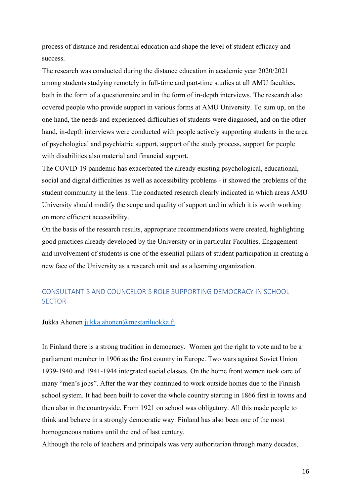process of distance and residential education and shape the level of student efficacy and success.

The research was conducted during the distance education in academic year 2020/2021 among students studying remotely in full-time and part-time studies at all AMU faculties, both in the form of a questionnaire and in the form of in-depth interviews. The research also covered people who provide support in various forms at AMU University. To sum up, on the one hand, the needs and experienced difficulties of students were diagnosed, and on the other hand, in-depth interviews were conducted with people actively supporting students in the area of psychological and psychiatric support, support of the study process, support for people with disabilities also material and financial support.

The COVID-19 pandemic has exacerbated the already existing psychological, educational, social and digital difficulties as well as accessibility problems - it showed the problems of the student community in the lens. The conducted research clearly indicated in which areas AMU University should modify the scope and quality of support and in which it is worth working on more efficient accessibility.

On the basis of the research results, appropriate recommendations were created, highlighting good practices already developed by the University or in particular Faculties. Engagement and involvement of students is one of the essential pillars of student participation in creating a new face of the University as a research unit and as a learning organization.

# CONSULTANT´S AND COUNCELOR´S ROLE SUPPORTING DEMOCRACY IN SCHOOL **SECTOR**

#### Jukka Ahonen jukka.ahonen@mestariluokka.fi

In Finland there is a strong tradition in democracy. Women got the right to vote and to be a parliament member in 1906 as the first country in Europe. Two wars against Soviet Union 1939-1940 and 1941-1944 integrated social classes. On the home front women took care of many "men's jobs". After the war they continued to work outside homes due to the Finnish school system. It had been built to cover the whole country starting in 1866 first in towns and then also in the countryside. From 1921 on school was obligatory. All this made people to think and behave in a strongly democratic way. Finland has also been one of the most homogeneous nations until the end of last century.

Although the role of teachers and principals was very authoritarian through many decades,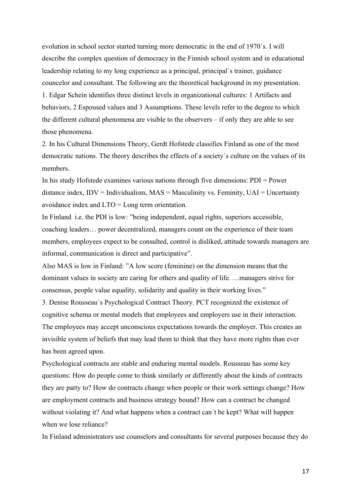evolution in school sector started turning more democratic in the end of 1970`s. I will describe the complex question of democracy in the Finnish school system and in educational leadership relating to my long experience as a principal, principal's trainer, guidance councelor and consultant. The following are the theoretical background in my presentation. 1. Edgar Schein identifies three distinct levels in organizational cultures: 1 Artifacts and behaviors, 2 Espoused values and 3 Assumptions. These levels refer to the degree to which the different cultural phenomena are visible to the observers – if only they are able to see those phenomena.

2. In his Cultural Dimensions Theory, Gerdt Hofstede classifies Finland as one of the most democratic nations. The theory describes the effects of a society´s culture on the values of its members.

In his study Hofstede examines various nations through five dimensions: PDI = Power distance index,  $IDV = Individualism$ ,  $MAS = Masculinity$  vs. Feminity,  $UAI = Uncertainty$ avoidance index and LTO = Long term orientation.

In Finland i.e. the PDI is low: "being independent, equal rights, superiors accessible, coaching leaders… power decentralized, managers count on the experience of their team members, employees expect to be consulted, control is disliked, attitude towards managers are informal, communication is direct and participative".

Also MAS is low in Finland: "A low score (feminine) on the dimension means that the dominant values in society are caring for others and quality of life. …managers strive for consensus, people value equality, solidarity and quality in their working lives."

3. Denise Rousseau´s Psychological Contract Theory. PCT recognized the existence of cognitive schema or mental models that employees and employers use in their interaction. The employees may accept unconscious expectations towards the employer. This creates an invisible system of beliefs that may lead them to think that they have more rights than ever has been agreed upon.

Psychological contracts are stable and enduring mental models. Rousseau has some key questions: How do people come to think similarly or differently about the kinds of contracts they are party to? How do contracts change when people or their work settings change? How are employment contracts and business strategy bound? How can a contract be changed without violating it? And what happens when a contract can´t be kept? What will happen when we lose reliance?

In Finland administrators use counselors and consultants for several purposes because they do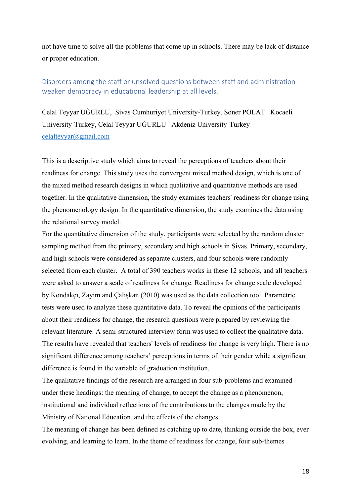not have time to solve all the problems that come up in schools. There may be lack of distance or proper education.

# Disorders among the staff or unsolved questions between staff and administration weaken democracy in educational leadership at all levels.

Celal Teyyar UĞURLU, Sivas Cumhuriyet University-Turkey, Soner POLAT Kocaeli University-Turkey, Celal Teyyar UĞURLU Akdeniz University-Turkey celalteyyar@gmail.com

This is a descriptive study which aims to reveal the perceptions of teachers about their readiness for change. This study uses the convergent mixed method design, which is one of the mixed method research designs in which qualitative and quantitative methods are used together. In the qualitative dimension, the study examines teachers' readiness for change using the phenomenology design. In the quantitative dimension, the study examines the data using the relational survey model.

For the quantitative dimension of the study, participants were selected by the random cluster sampling method from the primary, secondary and high schools in Sivas. Primary, secondary, and high schools were considered as separate clusters, and four schools were randomly selected from each cluster. A total of 390 teachers works in these 12 schools, and all teachers were asked to answer a scale of readiness for change. Readiness for change scale developed by Kondakçı, Zayim and Çalışkan (2010) was used as the data collection tool. Parametric tests were used to analyze these quantitative data. To reveal the opinions of the participants about their readiness for change, the research questions were prepared by reviewing the relevant literature. A semi-structured interview form was used to collect the qualitative data. The results have revealed that teachers' levels of readiness for change is very high. There is no significant difference among teachers' perceptions in terms of their gender while a significant difference is found in the variable of graduation institution.

The qualitative findings of the research are arranged in four sub-problems and examined under these headings: the meaning of change, to accept the change as a phenomenon, institutional and individual reflections of the contributions to the changes made by the Ministry of National Education, and the effects of the changes.

The meaning of change has been defined as catching up to date, thinking outside the box, ever evolving, and learning to learn. In the theme of readiness for change, four sub-themes